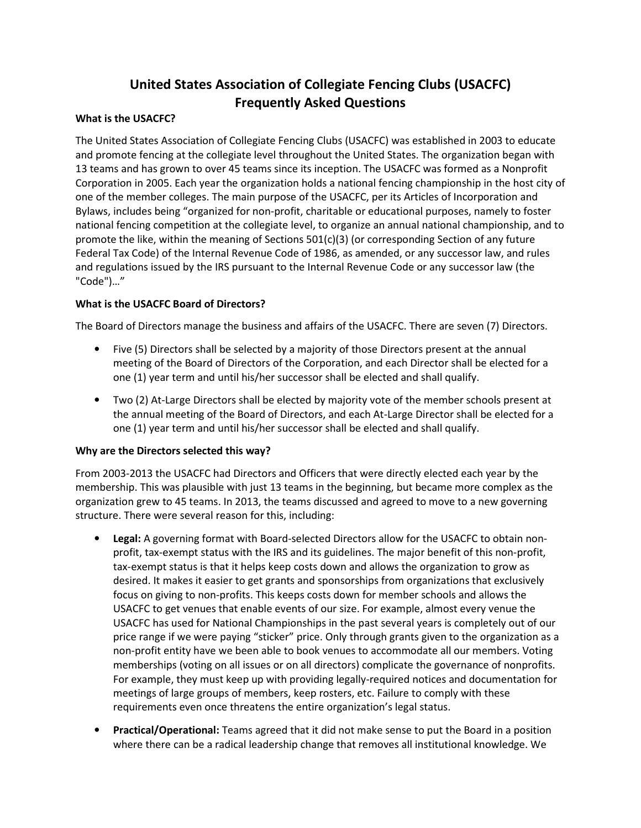# **United States Association of Collegiate Fencing Clubs (USACFC) Frequently Asked Questions**

#### **What is the USACFC?**

The United States Association of Collegiate Fencing Clubs (USACFC) was established in 2003 to educate and promote fencing at the collegiate level throughout the United States. The organization began with 13 teams and has grown to over 45 teams since its inception. The USACFC was formed as a Nonprofit Corporation in 2005. Each year the organization holds a national fencing championship in the host city of one of the member colleges. The main purpose of the USACFC, per its Articles of Incorporation and Bylaws, includes being "organized for non-profit, charitable or educational purposes, namely to foster national fencing competition at the collegiate level, to organize an annual national championship, and to promote the like, within the meaning of Sections  $501(c)(3)$  (or corresponding Section of any future Federal Tax Code) of the Internal Revenue Code of 1986, as amended, or any successor law, and rules and regulations issued by the IRS pursuant to the Internal Revenue Code or any successor law (the "Code")…"

#### **What is the USACFC Board of Directors?**

The Board of Directors manage the business and affairs of the USACFC. There are seven (7) Directors.

- Five (5) Directors shall be selected by a majority of those Directors present at the annual meeting of the Board of Directors of the Corporation, and each Director shall be elected for a one (1) year term and until his/her successor shall be elected and shall qualify.
- Two (2) At-Large Directors shall be elected by majority vote of the member schools present at the annual meeting of the Board of Directors, and each At-Large Director shall be elected for a one (1) year term and until his/her successor shall be elected and shall qualify.

#### **Why are the Directors selected this way?**

From 2003-2013 the USACFC had Directors and Officers that were directly elected each year by the membership. This was plausible with just 13 teams in the beginning, but became more complex as the organization grew to 45 teams. In 2013, the teams discussed and agreed to move to a new governing structure. There were several reason for this, including:

- **Legal:** A governing format with Board-selected Directors allow for the USACFC to obtain nonprofit, tax-exempt status with the IRS and its guidelines. The major benefit of this non-profit, tax-exempt status is that it helps keep costs down and allows the organization to grow as desired. It makes it easier to get grants and sponsorships from organizations that exclusively focus on giving to non-profits. This keeps costs down for member schools and allows the USACFC to get venues that enable events of our size. For example, almost every venue the USACFC has used for National Championships in the past several years is completely out of our price range if we were paying "sticker" price. Only through grants given to the organization as a non-profit entity have we been able to book venues to accommodate all our members. Voting memberships (voting on all issues or on all directors) complicate the governance of nonprofits. For example, they must keep up with providing legally-required notices and documentation for meetings of large groups of members, keep rosters, etc. Failure to comply with these requirements even once threatens the entire organization's legal status.
- **Practical/Operational:** Teams agreed that it did not make sense to put the Board in a position where there can be a radical leadership change that removes all institutional knowledge. We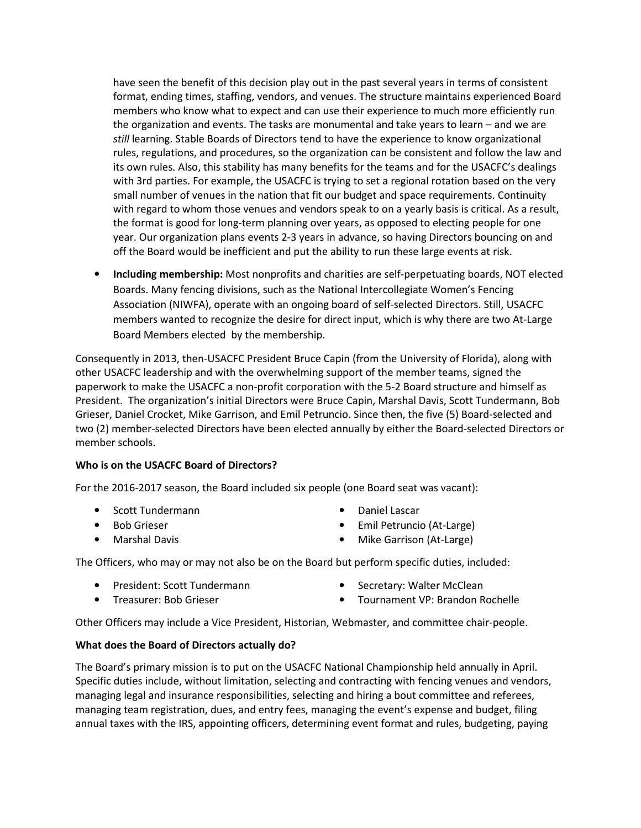have seen the benefit of this decision play out in the past several years in terms of consistent format, ending times, staffing, vendors, and venues. The structure maintains experienced Board members who know what to expect and can use their experience to much more efficiently run the organization and events. The tasks are monumental and take years to learn – and we are *still* learning. Stable Boards of Directors tend to have the experience to know organizational rules, regulations, and procedures, so the organization can be consistent and follow the law and its own rules. Also, this stability has many benefits for the teams and for the USACFC's dealings with 3rd parties. For example, the USACFC is trying to set a regional rotation based on the very small number of venues in the nation that fit our budget and space requirements. Continuity with regard to whom those venues and vendors speak to on a yearly basis is critical. As a result, the format is good for long-term planning over years, as opposed to electing people for one year. Our organization plans events 2-3 years in advance, so having Directors bouncing on and off the Board would be inefficient and put the ability to run these large events at risk.

• **Including membership:** Most nonprofits and charities are self-perpetuating boards, NOT elected Boards. Many fencing divisions, such as the National Intercollegiate Women's Fencing Association (NIWFA), operate with an ongoing board of self-selected Directors. Still, USACFC members wanted to recognize the desire for direct input, which is why there are two At-Large Board Members elected by the membership.

Consequently in 2013, then-USACFC President Bruce Capin (from the University of Florida), along with other USACFC leadership and with the overwhelming support of the member teams, signed the paperwork to make the USACFC a non-profit corporation with the 5-2 Board structure and himself as President. The organization's initial Directors were Bruce Capin, Marshal Davis, Scott Tundermann, Bob Grieser, Daniel Crocket, Mike Garrison, and Emil Petruncio. Since then, the five (5) Board-selected and two (2) member-selected Directors have been elected annually by either the Board-selected Directors or member schools.

#### **Who is on the USACFC Board of Directors?**

For the 2016-2017 season, the Board included six people (one Board seat was vacant):

- Scott Tundermann
- Bob Grieser
- Marshal Davis
- Daniel Lascar
- Emil Petruncio (At-Large)
- Mike Garrison (At-Large)

The Officers, who may or may not also be on the Board but perform specific duties, included:

- President: Scott Tundermann
- Secretary: Walter McClean

• Treasurer: Bob Grieser

- 
- Tournament VP: Brandon Rochelle

Other Officers may include a Vice President, Historian, Webmaster, and committee chair-people.

#### **What does the Board of Directors actually do?**

The Board's primary mission is to put on the USACFC National Championship held annually in April. Specific duties include, without limitation, selecting and contracting with fencing venues and vendors, managing legal and insurance responsibilities, selecting and hiring a bout committee and referees, managing team registration, dues, and entry fees, managing the event's expense and budget, filing annual taxes with the IRS, appointing officers, determining event format and rules, budgeting, paying